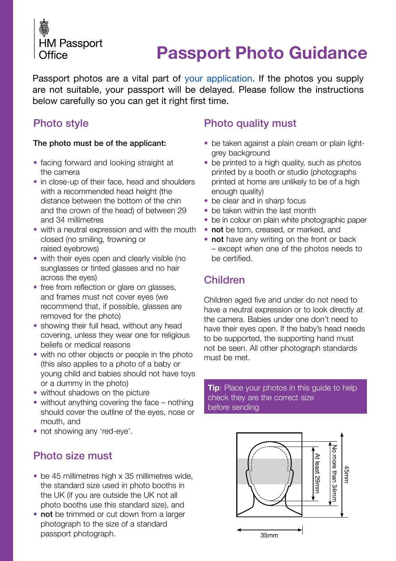

# **[Passport Photo Guidance](https://deedpolloffice.com/change-name/who-to-tell/passport/photo-guidance)**

Passport photos are a vital part of [your application](https://deedpolloffice.com/change-name/who-to-tell/passport). If the photos you supply are not suitable, your passport will be delayed. Please follow the instructions below carefully so you can get it right first time.

### Photo style

#### The photo must be of the applicant:

- facing forward and looking straight at the camera
- in close-up of their face, head and shoulders with a recommended head height (the distance between the bottom of the chin and the crown of the head) of between 29 and 34 millimetres
- with a neutral expression and with the mouth closed (no smiling, frowning or raised eyebrows)
- with their eyes open and clearly visible (no sunglasses or tinted glasses and no hair across the eyes)
- free from reflection or glare on glasses, and frames must not cover eyes (we recommend that, if possible, glasses are removed for the photo)
- showing their full head, without any head covering, unless they wear one for religious beliefs or medical reasons
- with no other objects or people in the photo (this also applies to a photo of a baby or young child and babies should not have toys or a dummy in the photo)
- without shadows on the picture
- without anything covering the face nothing should cover the outline of the eyes, nose or mouth, and
- not showing any 'red-eye'.

#### Photo size must

- be 45 millimetres high x 35 millimetres wide, the standard size used in photo booths in the UK (if you are outside the UK not all photo booths use this standard size), and
- not be trimmed or cut down from a larger photograph to the size of a standard passport photograph.

## Photo quality must

- be taken against a plain cream or plain lightgrey background
- be printed to a high quality, such as photos printed by a booth or studio (photographs printed at home are unlikely to be of a high enough quality)
- be clear and in sharp focus
- be taken within the last month
- be in colour on plain white photographic paper
- not be torn, creased, or marked, and
- not have any writing on the front or back – except when one of the photos needs to be certified.

#### Children

Children aged five and under do not need to have a neutral expression or to look directly at the camera. Babies under one don't need to have their eyes open. If the baby's head needs to be supported, the supporting hand must not be seen. All other photograph standards must be met.

**Tip**: Place your photos in this guide to help check they are the correct size before sending